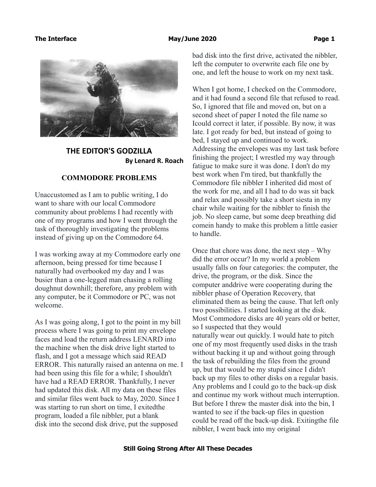

**THE EDITOR'S GODZILLA By Lenard R. Roach**

## **COMMODORE PROBLEMS**

Unaccustomed as I am to public writing, I do want to share with our local Commodore community about problems I had recently with one of my programs and how I went through the task of thoroughly investigating the problems instead of giving up on the Commodore 64.

I was working away at my Commodore early one afternoon, being pressed for time because I naturally had overbooked my day and I was busier than a one-legged man chasing a rolling doughnut downhill; therefore, any problem with any computer, be it Commodore or PC, was not welcome.

As I was going along, I got to the point in my bill process where I was going to print my envelope faces and load the return address LENARD into the machine when the disk drive light started to flash, and I got a message which said READ ERROR. This naturally raised an antenna on me. I had been using this file for a while; I shouldn't have had a READ ERROR. Thankfully, I never had updated this disk. All my data on these files and similar files went back to May, 2020. Since I was starting to run short on time, I exitedthe program, loaded a file nibbler, put a blank disk into the second disk drive, put the supposed

bad disk into the first drive, activated the nibbler, left the computer to overwrite each file one by one, and left the house to work on my next task.

When I got home, I checked on the Commodore, and it had found a second file that refused to read. So, I ignored that file and moved on, but on a second sheet of paper I noted the file name so Icould correct it later, if possible. By now, it was late. I got ready for bed, but instead of going to bed, I stayed up and continued to work. Addressing the envelopes was my last task before finishing the project; I wrestled my way through fatigue to make sure it was done. I don't do my best work when I'm tired, but thankfully the Commodore file nibbler I inherited did most of the work for me, and all I had to do was sit back and relax and possibly take a short siesta in my chair while waiting for the nibbler to finish the job. No sleep came, but some deep breathing did comein handy to make this problem a little easier to handle.

Once that chore was done, the next step – Why did the error occur? In my world a problem usually falls on four categories: the computer, the drive, the program, or the disk. Since the computer anddrive were cooperating during the nibbler phase of Operation Recovery, that eliminated them as being the cause. That left only two possibilities. I started looking at the disk. Most Commodore disks are 40 years old or better, so I suspected that they would naturally wear out quickly. I would hate to pitch one of my most frequently used disks in the trash without backing it up and without going through the task of rebuilding the files from the ground up, but that would be my stupid since I didn't back up my files to other disks on a regular basis. Any problems and I could go to the back-up disk and continue my work without much interruption. But before I threw the master disk into the bin, I wanted to see if the back-up files in question could be read off the back-up disk. Exitingthe file nibbler, I went back into my original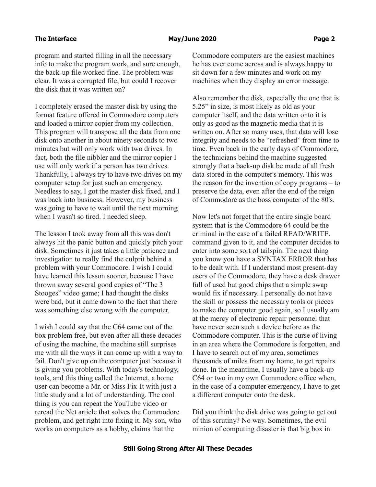program and started filling in all the necessary info to make the program work, and sure enough, the back-up file worked fine. The problem was clear. It was a corrupted file, but could I recover the disk that it was written on?

I completely erased the master disk by using the format feature offered in Commodore computers and loaded a mirror copier from my collection. This program will transpose all the data from one disk onto another in about ninety seconds to two minutes but will only work with two drives. In fact, both the file nibbler and the mirror copier I use will only work if a person has two drives. Thankfully, I always try to have two drives on my computer setup for just such an emergency. Needless to say, I got the master disk fixed, and I was back into business. However, my business was going to have to wait until the next morning when I wasn't so tired. I needed sleep.

The lesson I took away from all this was don't always hit the panic button and quickly pitch your disk. Sometimes it just takes a little patience and investigation to really find the culprit behind a problem with your Commodore. I wish I could have learned this lesson sooner, because I have thrown away several good copies of "The 3 Stooges" video game; I had thought the disks were bad, but it came down to the fact that there was something else wrong with the computer.

I wish I could say that the C64 came out of the box problem free, but even after all these decades of using the machine, the machine still surprises me with all the ways it can come up with a way to fail. Don't give up on the computer just because it is giving you problems. With today's technology, tools, and this thing called the Internet, a home user can become a Mr. or Miss Fix-It with just a little study and a lot of understanding. The cool thing is you can repeat the YouTube video or reread the Net article that solves the Commodore problem, and get right into fixing it. My son, who works on computers as a hobby, claims that the

Commodore computers are the easiest machines he has ever come across and is always happy to sit down for a few minutes and work on my machines when they display an error message.

Also remember the disk, especially the one that is 5.25" in size, is most likely as old as your computer itself, and the data written onto it is only as good as the magnetic media that it is written on. After so many uses, that data will lose integrity and needs to be "refreshed" from time to time. Even back in the early days of Commodore, the technicians behind the machine suggested strongly that a back-up disk be made of all fresh data stored in the computer's memory. This was the reason for the invention of copy programs – to preserve the data, even after the end of the reign of Commodore as the boss computer of the 80's.

Now let's not forget that the entire single board system that is the Commodore 64 could be the criminal in the case of a failed READ/WRITE. command given to it, and the computer decides to enter into some sort of tailspin. The next thing you know you have a SYNTAX ERROR that has to be dealt with. If I understand most present-day users of the Commodore, they have a desk drawer full of used but good chips that a simple swap would fix if necessary. I personally do not have the skill or possess the necessary tools or pieces to make the computer good again, so I usually am at the mercy of electronic repair personnel that have never seen such a device before as the Commodore computer. This is the curse of living in an area where the Commodore is forgotten, and I have to search out of my area, sometimes thousands of miles from my home, to get repairs done. In the meantime, I usually have a back-up C64 or two in my own Commodore office when, in the case of a computer emergency, I have to get a different computer onto the desk.

Did you think the disk drive was going to get out of this scrutiny? No way. Sometimes, the evil minion of computing disaster is that big box in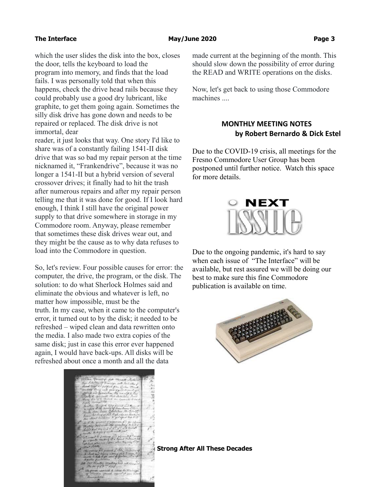which the user slides the disk into the box, closes the door, tells the keyboard to load the program into memory, and finds that the load fails. I was personally told that when this happens, check the drive head rails because they could probably use a good dry lubricant, like graphite, to get them going again. Sometimes the silly disk drive has gone down and needs to be repaired or replaced. The disk drive is not immortal, dear

reader, it just looks that way. One story I'd like to share was of a constantly failing 1541-II disk drive that was so bad my repair person at the time nicknamed it, "Frankendrive", because it was no longer a 1541-II but a hybrid version of several crossover drives; it finally had to hit the trash after numerous repairs and after my repair person telling me that it was done for good. If I look hard enough, I think I still have the original power supply to that drive somewhere in storage in my Commodore room. Anyway, please remember that sometimes these disk drives wear out, and they might be the cause as to why data refuses to load into the Commodore in question.

So, let's review. Four possible causes for error: the computer, the drive, the program, or the disk. The solution: to do what Sherlock Holmes said and eliminate the obvious and whatever is left, no matter how impossible, must be the truth. In my case, when it came to the computer's error, it turned out to by the disk; it needed to be refreshed – wiped clean and data rewritten onto the media. I also made two extra copies of the same disk; just in case this error ever happened again, I would have back-ups. All disks will be refreshed about once a month and all the data



made current at the beginning of the month. This should slow down the possibility of error during the READ and WRITE operations on the disks.

Now, let's get back to using those Commodore machines ....

# **MONTHLY MEETING NOTES by Robert Bernardo & Dick Estel**

Due to the COVID-19 crisis, all meetings for the Fresno Commodore User Group has been postponed until further notice. Watch this space for more details.



Due to the ongoing pandemic, it's hard to say when each issue of "The Interface" will be available, but rest assured we will be doing our best to make sure this fine Commodore publication is available on time.



**Strong After All These Decades**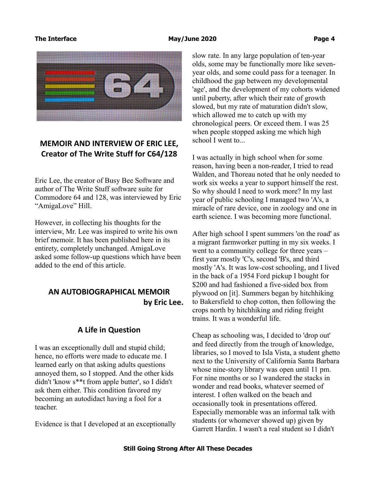

# **MEMOIR AND INTERVIEW OF ERIC LEE, Creator of The Write Stuff for C64/128**

Eric Lee, the creator of Busy Bee Software and author of The Write Stuff software suite for Commodore 64 and 128, was interviewed by Eric "AmigaLove" Hill.

However, in collecting his thoughts for the interview, Mr. Lee was inspired to write his own brief memoir. It has been published here in its entirety, completely unchanged. AmigaLove asked some follow-up questions which have been added to the end of this article.

# **AN AUTOBIOGRAPHICAL MEMOIR by Eric Lee.**

# **A Life in Question**

I was an exceptionally dull and stupid child; hence, no efforts were made to educate me. I learned early on that asking adults questions annoyed them, so I stopped. And the other kids didn't 'know s\*\*t from apple butter', so I didn't ask them either. This condition favored my becoming an autodidact having a fool for a teacher.

Evidence is that I developed at an exceptionally

slow rate. In any large population of ten-year olds, some may be functionally more like sevenyear olds, and some could pass for a teenager. In childhood the gap between my developmental 'age', and the development of my cohorts widened until puberty, after which their rate of growth slowed, but my rate of maturation didn't slow, which allowed me to catch up with my chronological peers. Or exceed them. I was 25 when people stopped asking me which high school I went to...

I was actually in high school when for some reason, having been a non-reader, I tried to read Walden, and Thoreau noted that he only needed to work six weeks a year to support himself the rest. So why should I need to work more? In my last year of public schooling I managed two 'A's, a miracle of rare device, one in zoology and one in earth science. I was becoming more functional.

After high school I spent summers 'on the road' as a migrant farmworker putting in my six weeks. I went to a community college for three years – first year mostly 'C's, second 'B's, and third mostly 'A's. It was low-cost schooling, and I lived in the back of a 1954 Ford pickup I bought for \$200 and had fashioned a five-sided box from plywood on [it]. Summers began by hitchhiking to Bakersfield to chop cotton, then following the crops north by hitchhiking and riding freight trains. It was a wonderful life.

Cheap as schooling was, I decided to 'drop out' and feed directly from the trough of knowledge, libraries, so I moved to Isla Vista, a student ghetto next to the University of California Santa Barbara whose nine-story library was open until 11 pm. For nine months or so I wandered the stacks in wonder and read books, whatever seemed of interest. I often walked on the beach and occasionally took in presentations offered. Especially memorable was an informal talk with students (or whomever showed up) given by Garrett Hardin. I wasn't a real student so I didn't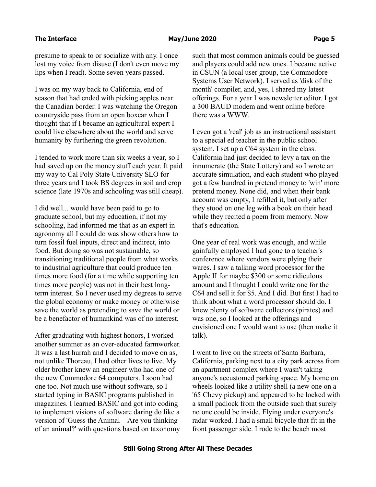presume to speak to or socialize with any. I once lost my voice from disuse (I don't even move my lips when I read). Some seven years passed.

I was on my way back to California, end of season that had ended with picking apples near the Canadian border. I was watching the Oregon countryside pass from an open boxcar when I thought that if I became an agricultural expert I could live elsewhere about the world and serve humanity by furthering the green revolution.

I tended to work more than six weeks a year, so I had saved up on the money stuff each year. It paid my way to Cal Poly State University SLO for three years and I took BS degrees in soil and crop science (late 1970s and schooling was still cheap).

I did well... would have been paid to go to graduate school, but my education, if not my schooling, had informed me that as an expert in agronomy all I could do was show others how to turn fossil fuel inputs, direct and indirect, into food. But doing so was not sustainable, so transitioning traditional people from what works to industrial agriculture that could produce ten times more food (for a time while supporting ten times more people) was not in their best longterm interest. So I never used my degrees to serve the global economy or make money or otherwise save the world as pretending to save the world or be a benefactor of humankind was of no interest.

After graduating with highest honors, I worked another summer as an over-educated farmworker. It was a last hurrah and I decided to move on as, not unlike Thoreau, I had other lives to live. My older brother knew an engineer who had one of the new Commodore 64 computers. I soon had one too. Not much use without software, so I started typing in BASIC programs published in magazines. I learned BASIC and got into coding to implement visions of software daring do like a version of 'Guess the Animal—Are you thinking of an animal?' with questions based on taxonomy

such that most common animals could be guessed and players could add new ones. I became active in CSUN (a local user group, the Commodore Systems User Network). I served as 'disk of the month' compiler, and, yes, I shared my latest offerings. For a year I was newsletter editor. I got a 300 BAUD modem and went online before there was a WWW.

I even got a 'real' job as an instructional assistant to a special ed teacher in the public school system. I set up a C64 system in the class. California had just decided to levy a tax on the innumerate (the State Lottery) and so I wrote an accurate simulation, and each student who played got a few hundred in pretend money to 'win' more pretend money. None did, and when their bank account was empty, I refilled it, but only after they stood on one leg with a book on their head while they recited a poem from memory. Now that's education.

One year of real work was enough, and while gainfully employed I had gone to a teacher's conference where vendors were plying their wares. I saw a talking word processor for the Apple II for maybe \$300 or some ridiculous amount and I thought I could write one for the C64 and sell it for \$5. And I did. But first I had to think about what a word processor should do. I knew plenty of software collectors (pirates) and was one, so I looked at the offerings and envisioned one I would want to use (then make it talk).

I went to live on the streets of Santa Barbara, California, parking next to a city park across from an apartment complex where I wasn't taking anyone's accustomed parking space. My home on wheels looked like a utility shell (a new one on a '65 Chevy pickup) and appeared to be locked with a small padlock from the outside such that surely no one could be inside. Flying under everyone's radar worked. I had a small bicycle that fit in the front passenger side. I rode to the beach most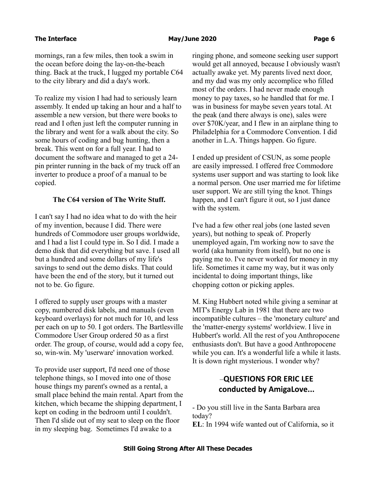mornings, ran a few miles, then took a swim in the ocean before doing the lay-on-the-beach thing. Back at the truck, I lugged my portable C64 to the city library and did a day's work.

To realize my vision I had had to seriously learn assembly. It ended up taking an hour and a half to assemble a new version, but there were books to read and I often just left the computer running in the library and went for a walk about the city. So some hours of coding and bug hunting, then a break. This went on for a full year. I had to document the software and managed to get a 24 pin printer running in the back of my truck off an inverter to produce a proof of a manual to be copied.

## **The C64 version of The Write Stuff.**

I can't say I had no idea what to do with the heir of my invention, because I did. There were hundreds of Commodore user groups worldwide, and I had a list I could type in. So I did. I made a demo disk that did everything but save. I used all but a hundred and some dollars of my life's savings to send out the demo disks. That could have been the end of the story, but it turned out not to be. Go figure.

I offered to supply user groups with a master copy, numbered disk labels, and manuals (even keyboard overlays) for not much for 10, and less per each on up to 50. I got orders. The Bartlesville Commodore User Group ordered 50 as a first order. The group, of course, would add a copy fee, so, win-win. My 'userware' innovation worked.

To provide user support, I'd need one of those telephone things, so I moved into one of those house things my parent's owned as a rental, a small place behind the main rental. Apart from the kitchen, which became the shipping department, I kept on coding in the bedroom until I couldn't. Then I'd slide out of my seat to sleep on the floor in my sleeping bag. Sometimes I'd awake to a

ringing phone, and someone seeking user support would get all annoyed, because I obviously wasn't actually awake yet. My parents lived next door, and my dad was my only accomplice who filled most of the orders. I had never made enough money to pay taxes, so he handled that for me. I was in business for maybe seven years total. At the peak (and there always is one), sales were over \$70K/year, and I flew in an airplane thing to Philadelphia for a Commodore Convention. I did another in L.A. Things happen. Go figure.

I ended up president of CSUN, as some people are easily impressed. I offered free Commodore systems user support and was starting to look like a normal person. One user married me for lifetime user support. We are still tying the knot. Things happen, and I can't figure it out, so I just dance with the system.

I've had a few other real jobs (one lasted seven years), but nothing to speak of. Properly unemployed again, I'm working now to save the world (aka humanity from itself), but no one is paying me to. I've never worked for money in my life. Sometimes it came my way, but it was only incidental to doing important things, like chopping cotton or picking apples.

M. King Hubbert noted while giving a seminar at MIT's Energy Lab in 1981 that there are two incompatible cultures – the 'monetary culture' and the 'matter-energy systems' worldview. I live in Hubbert's world. All the rest of you Anthropocene enthusiasts don't. But have a good Anthropocene while you can. It's a wonderful life a while it lasts. It is down right mysterious. I wonder why?

# –**QUESTIONS FOR ERIC LEE conducted by AmigaLove...**

- Do you still live in the Santa Barbara area today?

**EL**: In 1994 wife wanted out of California, so it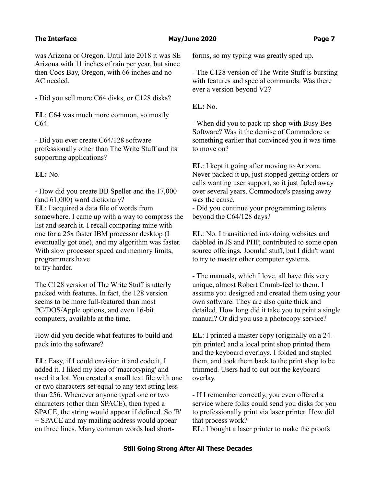was Arizona or Oregon. Until late 2018 it was SE Arizona with 11 inches of rain per year, but since then Coos Bay, Oregon, with 66 inches and no AC needed.

- Did you sell more C64 disks, or C128 disks?

**EL**: C64 was much more common, so mostly C64.

- Did you ever create C64/128 software professionally other than The Write Stuff and its supporting applications?

**EL:** No.

- How did you create BB Speller and the 17,000 (and 61,000) word dictionary? **EL**: I acquired a data file of words from somewhere. I came up with a way to compress the list and search it. I recall comparing mine with one for a 25x faster IBM processor desktop (I eventually got one), and my algorithm was faster. With slow processor speed and memory limits, programmers have to try harder.

The C128 version of The Write Stuff is utterly packed with features. In fact, the 128 version seems to be more full-featured than most PC/DOS/Apple options, and even 16-bit computers, available at the time.

How did you decide what features to build and pack into the software?

**EL**: Easy, if I could envision it and code it, I added it. I liked my idea of 'macrotyping' and used it a lot. You created a small text file with one or two characters set equal to any text string less than 256. Whenever anyone typed one or two characters (other than SPACE), then typed a SPACE, the string would appear if defined. So 'B' + SPACE and my mailing address would appear on three lines. Many common words had shortforms, so my typing was greatly sped up.

- The C128 version of The Write Stuff is bursting with features and special commands. Was there ever a version beyond V2?

**EL:** No.

- When did you to pack up shop with Busy Bee Software? Was it the demise of Commodore or something earlier that convinced you it was time to move on?

**EL**: I kept it going after moving to Arizona. Never packed it up, just stopped getting orders or calls wanting user support, so it just faded away over several years. Commodore's passing away was the cause.

- Did you continue your programming talents beyond the C64/128 days?

**EL**: No. I transitioned into doing websites and dabbled in JS and PHP, contributed to some open source offerings, Joomla! stuff, but I didn't want to try to master other computer systems.

- The manuals, which I love, all have this very unique, almost Robert Crumb-feel to them. I assume you designed and created them using your own software. They are also quite thick and detailed. How long did it take you to print a single manual? Or did you use a photocopy service?

**EL**: I printed a master copy (originally on a 24 pin printer) and a local print shop printed them and the keyboard overlays. I folded and stapled them, and took them back to the print shop to be trimmed. Users had to cut out the keyboard overlay.

- If I remember correctly, you even offered a service where folks could send you disks for you to professionally print via laser printer. How did that process work?

**EL**: I bought a laser printer to make the proofs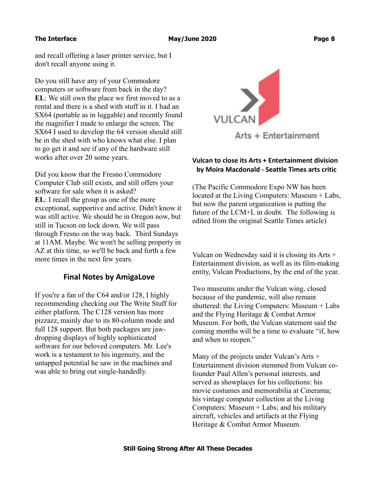and recall offering a laser printer service, but I don't recall anyone using it.

Do you still have any of your Commodore computers or software from back in the day? **EL**: We still own the place we first moved to as a rental and there is a shed with stuff in it. I had an SX64 (portable as in luggable) and recently found the magnifier I made to enlarge the screen. The SX64 I used to develop the 64 version should still be in the shed with who knows what else. I plan to go get it and see if any of the hardware still works after over 20 some years.

Did you know that the Fresno Commodore Computer Club still exists, and still offers your software for sale when it is asked? **EL**: I recall the group as one of the more exceptional, supportive and active. Didn't know it was still active. We should be in Oregon now, but still in Tucson on lock down. We will pass through Fresno on the way back. Third Sundays at 11AM. Maybe. We won't be selling property in AZ at this time, so we'll be back and forth a few more times in the next few years.

# **Final Notes by AmigaLove**

If you're a fan of the C64 and/or 128, I highly recommending checking out The Write Stuff for either platform. The C128 version has more pizzazz, mainly due to its 80-column mode and full 128 support. But both packages are jawdropping displays of highly sophisticated software for our beloved computers. Mr. Lee's work is a testament to his ingenuity, and the untapped potential he saw in the machines and was able to bring out single-handedly.



# **Vulcan to close its Arts + Entertainment division by Moira Macdonald - Seattle Times arts critic**

(The Pacific Commodore Expo NW has been located at the Living Computers: Museum + Labs, but now the parent organization is putting the future of the LCM+L in doubt. The following is edited from the original Seattle Times article)

Vulcan on Wednesday said it is closing its Arts + Entertainment division, as well as its film-making entity, Vulcan Productions, by the end of the year.

Two museums under the Vulcan wing, closed because of the pandemic, will also remain shuttered: the Living Computers: Museum + Labs and the Flying Heritage & Combat Armor Museum. For both, the Vulcan statement said the coming months will be a time to evaluate "if, how and when to reopen."

Many of the projects under Vulcan's Arts + Entertainment division stemmed from Vulcan cofounder Paul Allen's personal interests, and served as showplaces for his collections: his movie costumes and memorabilia at Cinerama; his vintage computer collection at the Living Computers: Museum  $+$  Labs; and his military aircraft, vehicles and artifacts at the Flying Heritage & Combat Armor Museum.